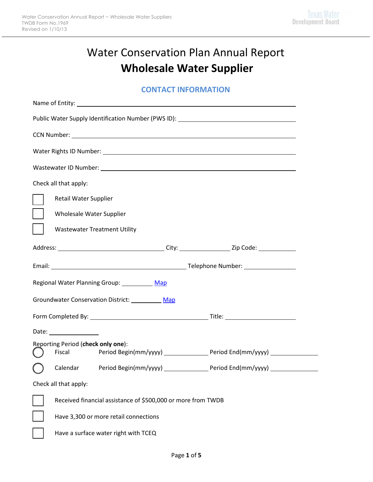# Water Conservation Plan Annual Report **Wholesale Water Supplier**

### **CONTACT INFORMATION**

|                                        | Public Water Supply Identification Number (PWS ID): ____________________________ |                                                              |                                                                                   |  |  |
|----------------------------------------|----------------------------------------------------------------------------------|--------------------------------------------------------------|-----------------------------------------------------------------------------------|--|--|
|                                        |                                                                                  |                                                              |                                                                                   |  |  |
|                                        |                                                                                  |                                                              |                                                                                   |  |  |
|                                        |                                                                                  |                                                              |                                                                                   |  |  |
|                                        | Check all that apply:                                                            |                                                              |                                                                                   |  |  |
|                                        | Retail Water Supplier                                                            |                                                              |                                                                                   |  |  |
|                                        |                                                                                  | Wholesale Water Supplier                                     |                                                                                   |  |  |
|                                        |                                                                                  | <b>Wastewater Treatment Utility</b>                          |                                                                                   |  |  |
|                                        |                                                                                  |                                                              |                                                                                   |  |  |
|                                        |                                                                                  |                                                              |                                                                                   |  |  |
|                                        |                                                                                  | Regional Water Planning Group: Map                           |                                                                                   |  |  |
| Groundwater Conservation District: Map |                                                                                  |                                                              |                                                                                   |  |  |
|                                        |                                                                                  |                                                              |                                                                                   |  |  |
|                                        |                                                                                  |                                                              |                                                                                   |  |  |
|                                        | Date: _________________                                                          |                                                              |                                                                                   |  |  |
|                                        |                                                                                  | Reporting Period (check only one):                           |                                                                                   |  |  |
|                                        | Fiscal                                                                           |                                                              | Period Begin(mm/yyyy) ____________________ Period End(mm/yyyy) _________________  |  |  |
|                                        |                                                                                  |                                                              | Calendar Period Begin(mm/yyyy) ____________________Period End(mm/yyyy) __________ |  |  |
|                                        | Check all that apply:                                                            |                                                              |                                                                                   |  |  |
|                                        |                                                                                  | Received financial assistance of \$500,000 or more from TWDB |                                                                                   |  |  |
|                                        |                                                                                  | Have 3,300 or more retail connections                        |                                                                                   |  |  |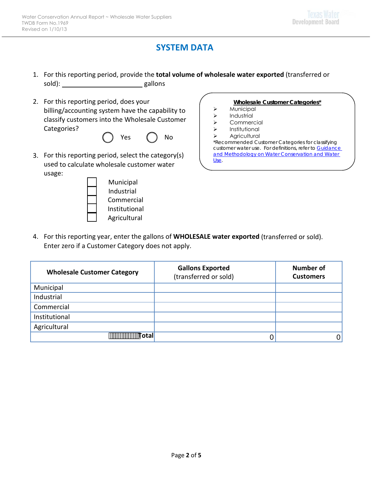# **SYSTEM DATA**

- 1. For this reporting period, provide the **total volume of wholesale water exported** (transferred or sold): gallons
- 2. For this reporting period, does your billing/accounting system have the capability to classify customers into the Wholesale Customer Categories?



3. For this reporting period, select the category(s) used to calculate wholesale customer water usage:



#### **Wholesale Customer Categories\***

- Municipal
- $\triangleright$  Industrial
- > Commercial
- > Institutional
- > Agricultural

*\*Recommended Customer Categories for classifying customer water use. For definitions, refer to [Guidance](www.twdb.texas.gov/conservation/doc/SB181Guidance.pdf)  [and Methodology on Water Conservation and Water](www.twdb.texas.gov/conservation/doc/SB181Guidance.pdf)  [Use.](www.twdb.texas.gov/conservation/doc/SB181Guidance.pdf)*

4. For this reporting year, enter the gallons of **WHOLESALE water exported** (transferred or sold). Enter zero if a Customer Category does not apply.

| <b>Wholesale Customer Category</b> | <b>Gallons Exported</b><br>(transferred or sold) | Number of<br><b>Customers</b> |
|------------------------------------|--------------------------------------------------|-------------------------------|
| Municipal                          |                                                  |                               |
| Industrial                         |                                                  |                               |
| Commercial                         |                                                  |                               |
| Institutional                      |                                                  |                               |
| Agricultural                       |                                                  |                               |
| <br><b>Total</b>                   |                                                  |                               |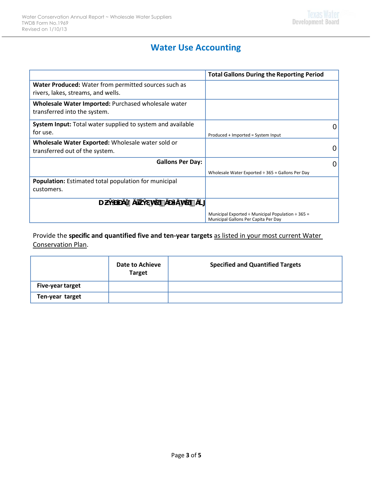# **Water Use Accounting**

|                                                                                            | <b>Total Gallons During the Reporting Period</b>                                                    |
|--------------------------------------------------------------------------------------------|-----------------------------------------------------------------------------------------------------|
| Water Produced: Water from permitted sources such as<br>rivers, lakes, streams, and wells. |                                                                                                     |
| Wholesale Water Imported: Purchased wholesale water<br>transferred into the system.        |                                                                                                     |
| System Input: Total water supplied to system and available<br>for use.                     | Produced + Imported = System Input                                                                  |
| Wholesale Water Exported: Wholesale water sold or<br>transferred out of the system.        | 0                                                                                                   |
| <b>Gallons Per Day:</b>                                                                    | 0                                                                                                   |
|                                                                                            | Wholesale Water Exported $\div$ 365 = Gallons Per Day                                               |
| <b>Population:</b> Estimated total population for municipal<br>customers.                  |                                                                                                     |
| 8<br>U<br>'n<br>ר h<br>`#                                                                  |                                                                                                     |
|                                                                                            | Municipal Exported $\div$ Municipal Population $\div$ 365 =<br>Municipal Gallons Per Capita Per Day |

Provide the **specific and quantified five and ten-year targets** as listed in your most current Water Conservation Plan.

|                         | Date to Achieve<br><b>Target</b> | <b>Specified and Quantified Targets</b> |
|-------------------------|----------------------------------|-----------------------------------------|
| <b>Five-year target</b> |                                  |                                         |
| Ten-year target         |                                  |                                         |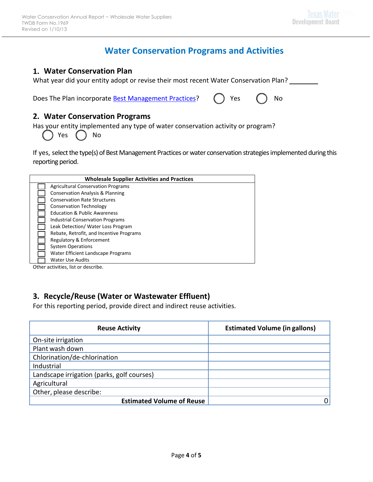# **Water Conservation Programs and Activities**

#### **1. Water Conservation Plan**

What year did your entity adopt or revise their most recent Water Conservation Plan?

Does The Plan incorporate [Best Management Practices?](www.twdb.texas.gov/conservation/BMPs/index.asp) (1) Yes (2) No

#### **2. Water Conservation Programs**

Has your entity implemented any type of water conservation activity or program?

Yes ( ) No

If yes, select the type(s) of Best Management Practices or water conservation strategies implemented during this reporting period.

| <b>Wholesale Supplier Activities and Practices</b> |                                             |  |  |
|----------------------------------------------------|---------------------------------------------|--|--|
|                                                    | <b>Agricultural Conservation Programs</b>   |  |  |
|                                                    | <b>Conservation Analysis &amp; Planning</b> |  |  |
|                                                    | <b>Conservation Rate Structures</b>         |  |  |
|                                                    | <b>Conservation Technology</b>              |  |  |
|                                                    | <b>Education &amp; Public Awareness</b>     |  |  |
|                                                    | <b>Industrial Conservation Programs</b>     |  |  |
|                                                    | Leak Detection/ Water Loss Program          |  |  |
|                                                    | Rebate, Retrofit, and Incentive Programs    |  |  |
|                                                    | Regulatory & Enforcement                    |  |  |
|                                                    | <b>System Operations</b>                    |  |  |
|                                                    | Water Efficient Landscape Programs          |  |  |
|                                                    | <b>Water Use Audits</b>                     |  |  |

Other activities, list or describe.

### **3. Recycle/Reuse (Water or Wastewater Effluent)**

For this reporting period, provide direct and indirect reuse activities.

| <b>Reuse Activity</b>                      | <b>Estimated Volume (in gallons)</b> |
|--------------------------------------------|--------------------------------------|
| On-site irrigation                         |                                      |
| Plant wash down                            |                                      |
| Chlorination/de-chlorination               |                                      |
| Industrial                                 |                                      |
| Landscape irrigation (parks, golf courses) |                                      |
| Agricultural                               |                                      |
| Other, please describe:                    |                                      |
| <b>Estimated Volume of Reuse</b>           |                                      |